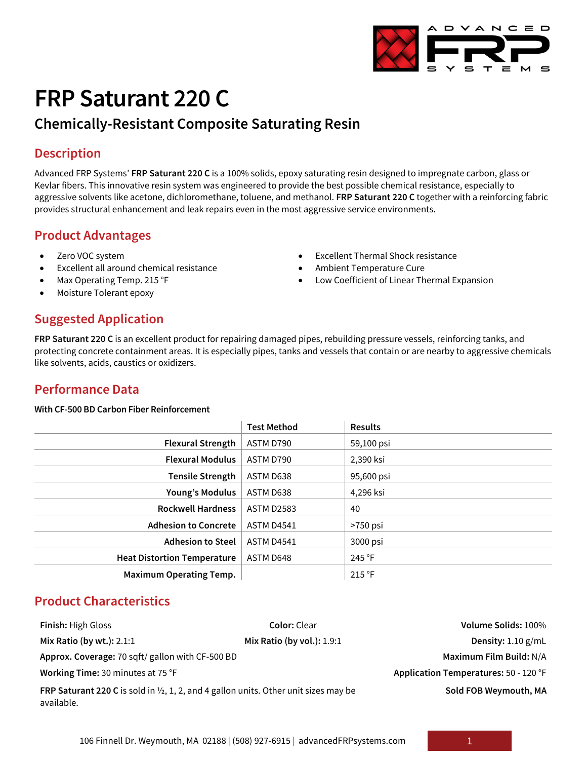

# **FRP Saturant 220 C**

## **Chemically-Resistant Composite Saturating Resin**

#### **Description**

Advanced FRP Systems' **FRP Saturant 220 C** is a 100% solids, epoxy saturating resin designed to impregnate carbon, glass or Kevlar fibers. This innovative resin system was engineered to provide the best possible chemical resistance, especially to aggressive solvents like acetone, dichloromethane, toluene, and methanol. **FRP Saturant 220 C** together with a reinforcing fabric provides structural enhancement and leak repairs even in the most aggressive service environments.

#### **Product Advantages**

- Zero VOC system
- Excellent all around chemical resistance
- Max Operating Temp. 215 °F
- Moisture Tolerant epoxy

#### • Excellent Thermal Shock resistance • Ambient Temperature Cure

- 
- Low Coefficient of Linear Thermal Expansion

#### **Suggested Application**

**FRP Saturant 220 C** is an excellent product for repairing damaged pipes, rebuilding pressure vessels, reinforcing tanks, and protecting concrete containment areas. It is especially pipes, tanks and vessels that contain or are nearby to aggressive chemicals like solvents, acids, caustics or oxidizers.

## **Performance Data**

#### **With CF-500 BD Carbon Fiber Reinforcement**

|                                    | <b>Test Method</b> | <b>Results</b> |
|------------------------------------|--------------------|----------------|
| <b>Flexural Strength</b>           | ASTM D790          | 59,100 psi     |
| <b>Flexural Modulus</b>            | ASTM D790          | 2,390 ksi      |
| <b>Tensile Strength</b>            | ASTM D638          | 95,600 psi     |
| <b>Young's Modulus</b>             | ASTM D638          | 4,296 ksi      |
| <b>Rockwell Hardness</b>           | <b>ASTM D2583</b>  | 40             |
| <b>Adhesion to Concrete</b>        | ASTM D4541         | $>750$ psi     |
| <b>Adhesion to Steel</b>           | <b>ASTM D4541</b>  | 3000 psi       |
| <b>Heat Distortion Temperature</b> | ASTM D648          | 245 °F         |
| <b>Maximum Operating Temp.</b>     |                    | 215 °F         |

#### **Product Characteristics**

| <b>Finish: High Gloss</b>                                                                                            | <b>Color:</b> Clear          | Volume Solids: 100%                   |  |
|----------------------------------------------------------------------------------------------------------------------|------------------------------|---------------------------------------|--|
| Mix Ratio (by wt.): 2.1:1                                                                                            | Mix Ratio (by vol.): $1.9:1$ | Density: $1.10$ g/mL                  |  |
| Approx. Coverage: 70 sqft/ gallon with CF-500 BD                                                                     |                              | Maximum Film Build: N/A               |  |
| Working Time: 30 minutes at 75 °F                                                                                    |                              | Application Temperatures: 50 - 120 °F |  |
| <b>FRP Saturant 220 C</b> is sold in $\frac{1}{2}$ , 1, 2, and 4 gallon units. Other unit sizes may be<br>available. |                              | Sold FOB Weymouth, MA                 |  |

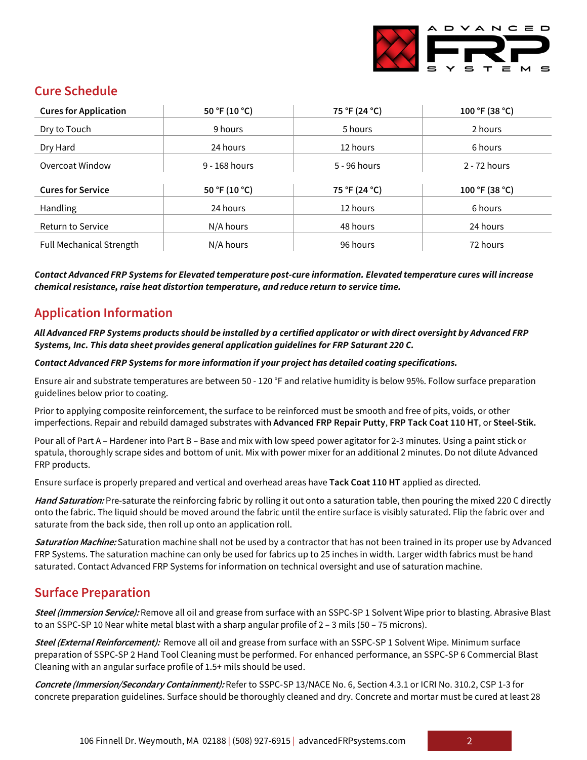

## **Cure Schedule**

| <b>Cures for Application</b>    | 50 °F (10 °C)   | 75 °F (24 °C) | 100 °F (38 °C) |
|---------------------------------|-----------------|---------------|----------------|
| Dry to Touch                    | 9 hours         | 5 hours       | 2 hours        |
| Dry Hard                        | 24 hours        | 12 hours      | 6 hours        |
| Overcoat Window                 | $9 - 168$ hours | 5 - 96 hours  | 2 - 72 hours   |
|                                 |                 |               |                |
| <b>Cures for Service</b>        | 50 °F (10 °C)   | 75 °F (24 °C) | 100 °F (38 °C) |
| Handling                        | 24 hours        | 12 hours      | 6 hours        |
| Return to Service               | N/A hours       | 48 hours      | 24 hours       |
| <b>Full Mechanical Strength</b> | N/A hours       | 96 hours      | 72 hours       |

*Contact Advanced FRP Systems for Elevated temperature post-cure information. Elevated temperature cures will increase chemical resistance, raise heat distortion temperature, and reduce return to service time.*

## **Application Information**

*All Advanced FRP Systems products should be installed by a certified applicator or with direct oversight by Advanced FRP Systems, Inc. This data sheet provides general application guidelines for FRP Saturant 220 C.*

*Contact Advanced FRP Systems for more information if your project has detailed coating specifications.* 

Ensure air and substrate temperatures are between 50 - 120 °F and relative humidity is below 95%. Follow surface preparation guidelines below prior to coating.

Prior to applying composite reinforcement, the surface to be reinforced must be smooth and free of pits, voids, or other imperfections. Repair and rebuild damaged substrates with **Advanced FRP Repair Putty**, **FRP Tack Coat 110 HT**, or **Steel-Stik.**

Pour all of Part A – Hardener into Part B – Base and mix with low speed power agitator for 2-3 minutes. Using a paint stick or spatula, thoroughly scrape sides and bottom of unit. Mix with power mixer for an additional 2 minutes. Do not dilute Advanced FRP products.

Ensure surface is properly prepared and vertical and overhead areas have **Tack Coat 110 HT** applied as directed.

**Hand Saturation:** Pre-saturate the reinforcing fabric by rolling it out onto a saturation table, then pouring the mixed 220 C directly onto the fabric. The liquid should be moved around the fabric until the entire surface is visibly saturated. Flip the fabric over and saturate from the back side, then roll up onto an application roll.

**Saturation Machine:** Saturation machine shall not be used by a contractor that has not been trained in its proper use by Advanced FRP Systems. The saturation machine can only be used for fabrics up to 25 inches in width. Larger width fabrics must be hand saturated. Contact Advanced FRP Systems for information on technical oversight and use of saturation machine.

## **Surface Preparation**

**Steel (Immersion Service):** Remove all oil and grease from surface with an SSPC-SP 1 Solvent Wipe prior to blasting. Abrasive Blast to an SSPC-SP 10 Near white metal blast with a sharp angular profile of 2 – 3 mils (50 – 75 microns).

**Steel (External Reinforcement):** Remove all oil and grease from surface with an SSPC-SP 1 Solvent Wipe. Minimum surface preparation of SSPC-SP 2 Hand Tool Cleaning must be performed. For enhanced performance, an SSPC-SP 6 Commercial Blast Cleaning with an angular surface profile of 1.5+ mils should be used.

**Concrete (Immersion/Secondary Containment):** Refer to SSPC-SP 13/NACE No. 6, Section 4.3.1 or ICRI No. 310.2, CSP 1-3 for concrete preparation guidelines. Surface should be thoroughly cleaned and dry. Concrete and mortar must be cured at least 28